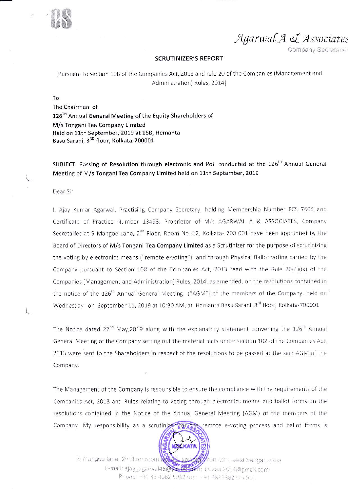

Agarwal A & Associates

Company Secretaries

#### **SCRUTINIZER'S REPORT**

[Pursuant to section 108 of the Companies Act, 2013 and rule 20 of the Companies (Management and Administration) Rules, 2014]

To

The Chairman of 126<sup>TH</sup> Annual General Meeting of the Equity Shareholders of M/s Tongani Tea Company Limited Held on 11th September, 2019 at 15B, Hemanta Basu Sarani, 3<sup>RD</sup> floor, Kolkata-700001

SUBJECT: Passing of Resolution through electronic and Poll conducted at the 126<sup>th</sup> Annual General Meeting of M/s Tongani Tea Company Limited held on 11th September, 2019

#### Dear Sir

I, Ajay Kumar Agarwal, Practising Company Secretary, holding Membership Number FCS 7604 and Certificate of Practice Number 13493, Proprietor of M/s AGARWAL A & ASSOCIATES, Company Secretaries at 9 Mangoe Lane, 2<sup>nd</sup> Floor, Room No.-12, Kolkata- 700 001 have been appointed by the Board of Directors of M/s Tongani Tea Company Limited as a Scrutinizer for the purpose of scrutinizing the voting by electronics means ("remote e-voting") and through Physical Ballot voting carried by the Company pursuant to Section 108 of the Companies Act, 2013 read with the Rule 20(4)(ix) of the Companies (Management and Administration) Rules, 2014, as amended, on the resolutions contained in the notice of the 126<sup>th</sup> Annual General Meeting ("AGM") of the members of the Company, held on Wednesday on September 11, 2019 at 10:30 AM, at Hemanta Basu Sarani, 3rd floor, Kolkata-700001

The Notice dated  $22^{nd}$  May, 2019 along with the explanatory statement convening the  $126^{th}$  Annual General Meeting of the Company setting out the material facts under section 102 of the Companies Act, 2013 were sent to the Shareholders in respect of the resolutions to be passed at the said AGM of the Company.

The Management of the Company is responsible to ensure the compliance with the requirements of the Companies Act, 2013 and Rules relating to voting through electronics means and ballot forms on the resolutions contained in the Notice of the Annual General Meeting (AGM) of the members of the Company. My responsibility as a scrutinizer for the remote e-voting process and ballot forms is



6 mangoe lane, 2<sup>nd</sup> floor, room **NS** kolkola 7700 001, west bengal, india E-mail: ajay\_agarwal45@\alient=chi; cs.aaa.2014@gmail.com Phone: +91 33 4062 5062 (c) + +91 9883362775 (nii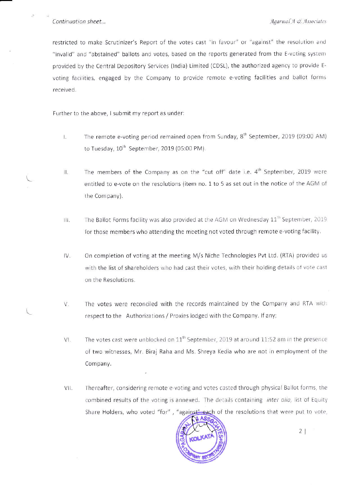restricted to make Scrutinizer's Report of the votes cast "in favour" or "against" the resolution and "invalid" and "abstained" ballots and votes, based on the reports generated from the E-voting system provided by the Central Depository Services (India) Limited (CDSL), the authorized agency to provide Evoting facilities, engaged by the Company to provide remote e-voting facilities and ballot forms received.

Further to the above, I submit my report as under:

- The remote e-voting period remained open from Sunday, 8<sup>th</sup> September, 2019 (09:00 AM) L. to Tuesday, 10<sup>th</sup> September, 2019 (05:00 PM).
- The members of the Company as on the "cut off" date i.e.  $4<sup>th</sup>$  September, 2019 were П. entitled to e-vote on the resolutions (item no. 1 to 5 as set out in the notice of the AGM of the Company).
- The Ballot Forms facility was also provided at the AGM on Wednesday  $11^{\text{th}}$  September, 2019 排. for those members who attending the meeting not voted through remote e-voting facility.
- $IV.$ On completion of voting at the meeting M/s Niche Technologies Pvt Ltd. (RTA) provided us with the list of shareholders who had cast their votes, with their holding details of vote cast on the Resolutions.
- The votes were reconciled with the records maintained by the Company and RTA with V. respect to the Authorizations / Proxies lodged with the Company. If any;
- The votes cast were unblocked on 11<sup>th</sup> September, 2019 at around 11:52 am in the presence VI. of two witnesses, Mr. Biraj Raha and Ms. Shreya Kedia who are not in employment of the Company.
- VII. Thereafter, considering remote e-voting and votes casted through physical Ballot forms, the combined results of the voting is annexed. The details containing inter alia, list of Equity Share Holders, who voted "for", "against" each of the resolutions that were put to vote,

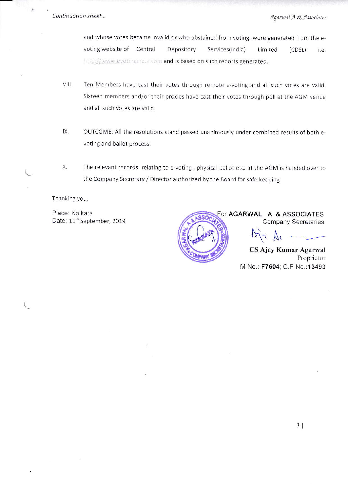k

and whose votes became invalid or who abstained from voting, were generated from the evoting website of Central Depository Services(India) Limited  $(CDSL)$ i.e. http://www.evotingina.a.com and is based on such reports generated.

- VIII. Ten Members have cast their votes through remote e-voting and all such votes are valid, Sixteen members and/or their proxies have cast their votes through poll at the AGM venue and all such votes are valid.
- IX. OUTCOME: All the resolutions stand passed unanimously under combined results of both evoting and ballot process.
- Х. The relevant records relating to e-voting, physical ballot etc. at the AGM is handed over to the Company Secretary / Director authorized by the Board for safe keeping

Thanking you,

Place: Kolkata Date: 11<sup>th</sup> September, 2019



For AGARWAL A & ASSOCIATES **Company Secretaries** 

CS Ajay Kumar Agarwal Proprietor M No.: F7604; C.P No.:13493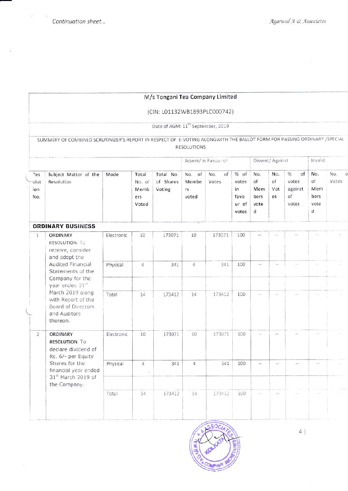ă

 $\sim$ 

# M/s Tongani Tea Company Limited

# (CIN: L01132WB1893PLC000742)

Date of AGM: 11<sup>th</sup> September, 2019

|                           |                                                                                                                                                                                                                                                          |            |                                         | Assent/ in Favour of             | Dissent/ Against               |                    |                                                 | Invalid                               |                        |                                                        |                                                 |              |
|---------------------------|----------------------------------------------------------------------------------------------------------------------------------------------------------------------------------------------------------------------------------------------------------|------------|-----------------------------------------|----------------------------------|--------------------------------|--------------------|-------------------------------------------------|---------------------------------------|------------------------|--------------------------------------------------------|-------------------------------------------------|--------------|
| 7es<br>olut<br>ion<br>No. | Subject Matter of the<br>Resolution                                                                                                                                                                                                                      | Mode       | Total<br>No. of<br>Memb<br>ers<br>Voted | Total No.<br>of Shares<br>Voting | No. of<br>Membe<br>rs<br>voted | No.<br>of<br>Votes | $%$ of<br>votes<br>in<br>favo<br>ur of<br>votes | No.<br>of<br>Mem<br>bers<br>vote<br>d | No.<br>of<br>Vot<br>es | of<br>$\frac{9}{6}$<br>votes<br>against<br>of<br>votes | No.<br>of<br>Mem<br>bers<br>vote<br>$\mathbf d$ | No.<br>Votes |
|                           | <b>ORDINARY BUSINESS</b>                                                                                                                                                                                                                                 |            |                                         |                                  |                                |                    |                                                 |                                       |                        |                                                        |                                                 |              |
| $\overline{1}$            | ORDINARY<br>RESOLUTION. To<br>receive, consider<br>and adopt the<br>Audited Financial<br>Statements of the<br>Company for the<br>year ended 31 <sup>st</sup><br>March 2019 along<br>with Report of the<br>Board of Directors<br>and Auditors<br>thereon. | Electronic | 10                                      | 173071                           | 10                             | 173071             | 100                                             |                                       |                        |                                                        |                                                 |              |
|                           |                                                                                                                                                                                                                                                          | Physical   | 4                                       | 341                              | $\overline{4}$                 | 341                | 100                                             | $\sim$                                | a.                     |                                                        |                                                 |              |
|                           |                                                                                                                                                                                                                                                          | Total      | 14                                      | 173412                           | 14                             | 173412             | 100                                             | $\omega_{\rm eff}$                    | $\overline{a}$         |                                                        |                                                 |              |
| $\overline{2}$            | ORDINARY<br><b>RESOLUTION: To</b><br>declare dividend of<br>Rs. 6/- per Equity                                                                                                                                                                           | Electronic | 10                                      | 173071                           | 10                             | 173071             | 100                                             | $\sim$ $\sim$                         | $\frac{1}{2}$          |                                                        |                                                 |              |
|                           | Shares for the<br>financial year ended<br>31st March 2019 of<br>the Company.                                                                                                                                                                             | Physical   | 4                                       | 341                              | $\overline{a}$                 | 341                | 100                                             | $\sim$ $-$                            | m.e.                   | n.e.                                                   |                                                 |              |
|                           |                                                                                                                                                                                                                                                          | Total      | 14                                      | 173412                           | 14                             | 173412             | 100                                             | s.                                    |                        |                                                        |                                                 |              |

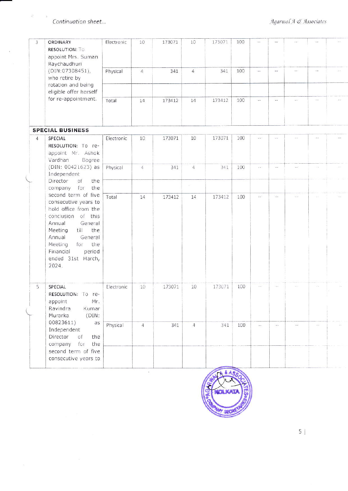$\hat{Q}$  $\sim$ 

| 3               | ORDINARY<br><b>RESOLUTION: TO</b><br>appoint Mrs. Suman<br>Raychaudhuri                                                                                                                                                                     | Electronic | 10             | 173071 | 10                       | 173071 | 100 |                             |                          |            | $\sim$        |  |  |  |
|-----------------|---------------------------------------------------------------------------------------------------------------------------------------------------------------------------------------------------------------------------------------------|------------|----------------|--------|--------------------------|--------|-----|-----------------------------|--------------------------|------------|---------------|--|--|--|
|                 | (DIN:07308451),<br>who retire by<br>rotation and being                                                                                                                                                                                      | Physical   | $\overline{4}$ | 341    | $\overline{4}$           | 341    | 100 | $\overline{\phantom{a}}$    | $\omega$ or              | GG.        | $\sim$ $\sim$ |  |  |  |
|                 | eligible offer herself                                                                                                                                                                                                                      |            |                |        |                          |        |     |                             |                          |            |               |  |  |  |
|                 | for re-appointment.                                                                                                                                                                                                                         | Total      | 14             | 173412 | 14                       | 173412 | 100 | $\omega$ in                 | $\overline{\phantom{a}}$ | 22         | $-1$          |  |  |  |
|                 | <b>SPECIAL BUSINESS</b>                                                                                                                                                                                                                     |            |                |        |                          |        |     |                             |                          |            |               |  |  |  |
| $\overline{4}$  | SPECIAL<br>RESOLUTION: To re-<br>appoint Mr. Ashok<br>Vardhan<br>Bagree                                                                                                                                                                     | Electronic | 10             | 173071 | 10                       | 173071 | 100 | <b>SIM</b>                  |                          |            |               |  |  |  |
|                 | (DIN: 00421623) as<br>Independent                                                                                                                                                                                                           | Physical   | 4              | 341    | $\mathcal{L}_\mathrm{r}$ | 341    | 100 | $\mathcal{C} = \mathcal{C}$ | $\sim$                   | i d        |               |  |  |  |
|                 | Director<br>of<br>the<br>company for<br>the                                                                                                                                                                                                 |            |                |        | 8                        |        |     |                             |                          |            |               |  |  |  |
|                 | second term of five<br>consecutive years to<br>hold office from the<br>conclusion of this<br>Annual<br>General<br>Meeting<br>the<br>till<br>Annual<br>General<br>Meeting<br>for<br>the<br>Financial<br>period<br>ended 31st March,<br>2024. | Total      | 14             | 173412 | $14\,$                   | 173412 | 100 | 踪                           | -22                      | S.         |               |  |  |  |
| $5\overline{)}$ | SPECIAL<br>RESOLUTION: To re-<br>Mr.<br>appoint<br>Ravindra<br>Kumar<br>Murarka<br>(DIN)                                                                                                                                                    | Electronic | 10             | 173071 | 10                       | 173071 | 100 | $\frac{1}{2}$               |                          |            |               |  |  |  |
|                 | 00823611)<br>as<br>Independent<br>Director<br>the<br>of<br>company<br>the<br>for                                                                                                                                                            | Physical   | $\overline{a}$ | 341    | $\overline{4}$           | 341    | 100 | $\sim$                      | $\omega$ $\omega$        | $\sigma$ . | z.            |  |  |  |
|                 | second term of five<br>consecutive years to                                                                                                                                                                                                 |            |                |        |                          |        |     |                             |                          |            |               |  |  |  |



 $5|$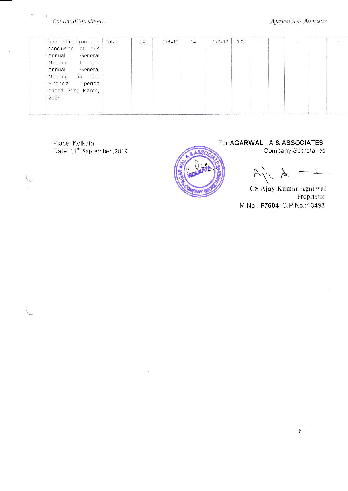Continuation sheet...

 $\frac{\partial \mathbf{y}}{\partial t}$ 

| hold office from the   Total<br>of this<br>conclusion<br>General<br>Annual<br>Meeting<br>the<br>till | 14 | 173412 | 14 | 173412 | 100 | $\sim$ | $\sim$ $\sim$ | $\sim$ | $-1$ | SOF |
|------------------------------------------------------------------------------------------------------|----|--------|----|--------|-----|--------|---------------|--------|------|-----|
| Annual<br>General<br>Meeting<br>the<br>for<br>Financial<br>period<br>ended 31st March,<br>2024.      |    |        |    |        |     |        |               |        |      |     |
|                                                                                                      |    |        |    |        |     |        |               |        |      |     |

Place: Kolkata<br>Date: 11<sup>th</sup> September ,2019



KX

CS Ajay Kumar Agarwal Proprietor M No.: F7604; C.P No.: 13493